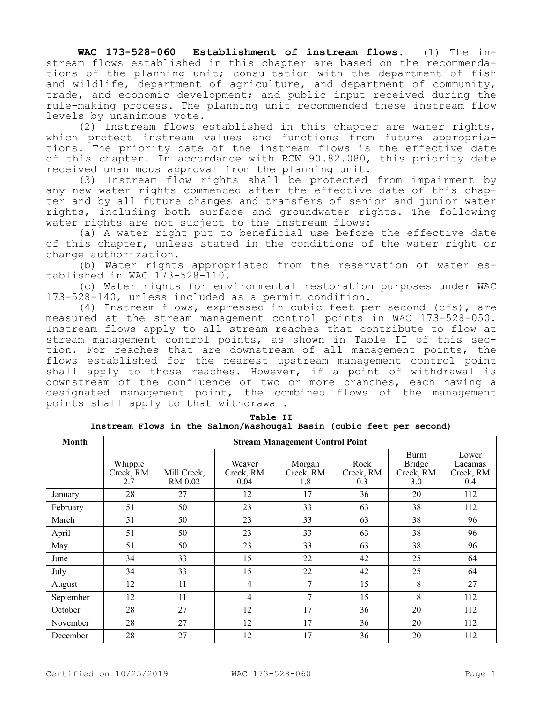**WAC 173-528-060 Establishment of instream flows.** (1) The instream flows established in this chapter are based on the recommendations of the planning unit; consultation with the department of fish and wildlife, department of agriculture, and department of community, trade, and economic development; and public input received during the rule-making process. The planning unit recommended these instream flow levels by unanimous vote.

(2) Instream flows established in this chapter are water rights, which protect instream values and functions from future appropriations. The priority date of the instream flows is the effective date of this chapter. In accordance with RCW 90.82.080, this priority date received unanimous approval from the planning unit.

(3) Instream flow rights shall be protected from impairment by any new water rights commenced after the effective date of this chapter and by all future changes and transfers of senior and junior water rights, including both surface and groundwater rights. The following water rights are not subject to the instream flows:

(a) A water right put to beneficial use before the effective date of this chapter, unless stated in the conditions of the water right or change authorization.

(b) Water rights appropriated from the reservation of water established in WAC 173-528-110.

(c) Water rights for environmental restoration purposes under WAC 173-528-140, unless included as a permit condition.

(4) Instream flows, expressed in cubic feet per second (cfs), are measured at the stream management control points in WAC 173-528-050. Instream flows apply to all stream reaches that contribute to flow at stream management control points, as shown in Table II of this section. For reaches that are downstream of all management points, the flows established for the nearest upstream management control point shall apply to those reaches. However, if a point of withdrawal is downstream of the confluence of two or more branches, each having a designated management point, the combined flows of the management points shall apply to that withdrawal.

| Table II |  |  |                                                                      |  |  |  |  |  |
|----------|--|--|----------------------------------------------------------------------|--|--|--|--|--|
|          |  |  | Instream Flows in the Salmon/Washougal Basin (cubic feet per second) |  |  |  |  |  |

| Month     | <b>Stream Management Control Point</b> |                        |                             |                            |                          |                                            |                                      |
|-----------|----------------------------------------|------------------------|-----------------------------|----------------------------|--------------------------|--------------------------------------------|--------------------------------------|
|           | Whipple<br>Creek, RM<br>2.7            | Mill Creek,<br>RM 0.02 | Weaver<br>Creek, RM<br>0.04 | Morgan<br>Creek, RM<br>1.8 | Rock<br>Creek, RM<br>0.3 | Burnt<br><b>Bridge</b><br>Creek, RM<br>3.0 | Lower<br>Lacamas<br>Creek, RM<br>0.4 |
| January   | 28                                     | 27                     | 12                          | 17                         | 36                       | 20                                         | 112                                  |
| February  | 51                                     | 50                     | 23                          | 33                         | 63                       | 38                                         | 112                                  |
| March     | 51                                     | 50                     | 23                          | 33                         | 63                       | 38                                         | 96                                   |
| April     | 51                                     | 50                     | 23                          | 33                         | 63                       | 38                                         | 96                                   |
| May       | 51                                     | 50                     | 23                          | 33                         | 63                       | 38                                         | 96                                   |
| June      | 34                                     | 33                     | 15                          | 22                         | 42                       | 25                                         | 64                                   |
| July      | 34                                     | 33                     | 15                          | 22                         | 42                       | 25                                         | 64                                   |
| August    | 12                                     | 11                     | 4                           | 7                          | 15                       | 8                                          | 27                                   |
| September | 12                                     | 11                     | 4                           | 7                          | 15                       | 8                                          | 112                                  |
| October   | 28                                     | 27                     | 12                          | 17                         | 36                       | 20                                         | 112                                  |
| November  | 28                                     | 27                     | 12                          | 17                         | 36                       | 20                                         | 112                                  |
| December  | 28                                     | 27                     | 12                          | 17                         | 36                       | 20                                         | 112                                  |